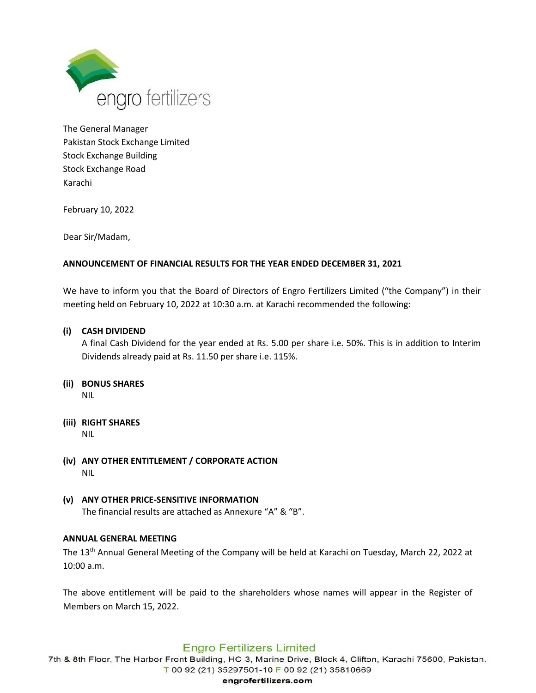

The General Manager Pakistan Stock Exchange Limited Stock Exchange Building Stock Exchange Road Karachi

February 10, 2022

Dear Sir/Madam,

# **ANNOUNCEMENT OF FINANCIAL RESULTS FOR THE YEAR ENDED DECEMBER 31, 2021**

We have to inform you that the Board of Directors of Engro Fertilizers Limited ("the Company") in their meeting held on February 10, 2022 at 10:30 a.m. at Karachi recommended the following:

# **(i) CASH DIVIDEND**

A final Cash Dividend for the year ended at Rs. 5.00 per share i.e. 50%. This is in addition to Interim Dividends already paid at Rs. 11.50 per share i.e. 115%.

#### **(ii) BONUS SHARES** NIL

- **(iii) RIGHT SHARES** NIL
- **(iv) ANY OTHER ENTITLEMENT / CORPORATE ACTION** NIL
- **(v) ANY OTHER PRICE-SENSITIVE INFORMATION** The financial results are attached as Annexure "A" & "B".

## **ANNUAL GENERAL MEETING**

The 13<sup>th</sup> Annual General Meeting of the Company will be held at Karachi on Tuesday, March 22, 2022 at 10:00 a.m.

The above entitlement will be paid to the shareholders whose names will appear in the Register of Members on March 15, 2022.

# **Engro Fertilizers Limited**

7th & 8th Floor, The Harbor Front Building, HC-3, Marine Drive, Block 4, Clifton, Karachi 75600, Pakistan. T 00 92 (21) 35297501-10 F 00 92 (21) 35810669

#### engrofertilizers.com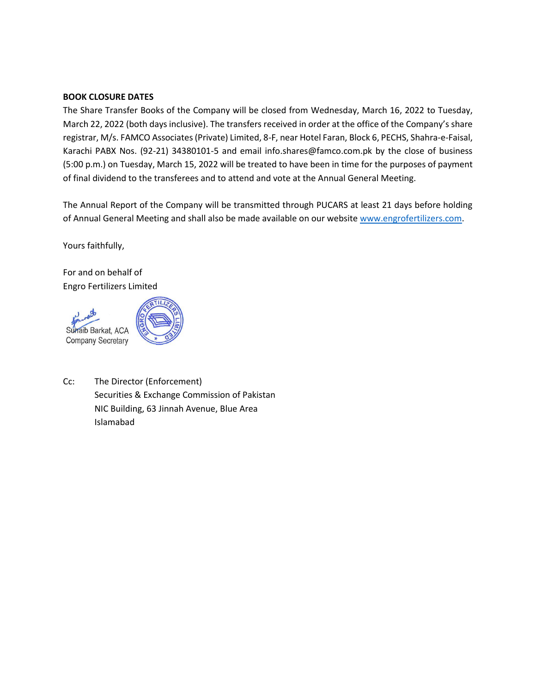## **BOOK CLOSURE DATES**

The Share Transfer Books of the Company will be closed from Wednesday, March 16, 2022 to Tuesday, March 22, 2022 (both days inclusive). The transfers received in order at the office of the Company's share registrar, M/s. FAMCO Associates (Private) Limited, 8-F, near Hotel Faran, Block 6, PECHS, Shahra-e-Faisal, Karachi PABX Nos. (92-21) 34380101-5 and email info.shares@famco.com.pk by the close of business (5:00 p.m.) on Tuesday, March 15, 2022 will be treated to have been in time for the purposes of payment of final dividend to the transferees and to attend and vote at the Annual General Meeting.

The Annual Report of the Company will be transmitted through PUCARS at least 21 days before holding of Annual General Meeting and shall also be made available on our website [www.engrofertilizers.com.](http://www.engrofertilizers.com/)

Yours faithfully,

For and on behalf of Engro Fertilizers Limited





Cc: The Director (Enforcement) Securities & Exchange Commission of Pakistan NIC Building, 63 Jinnah Avenue, Blue Area Islamabad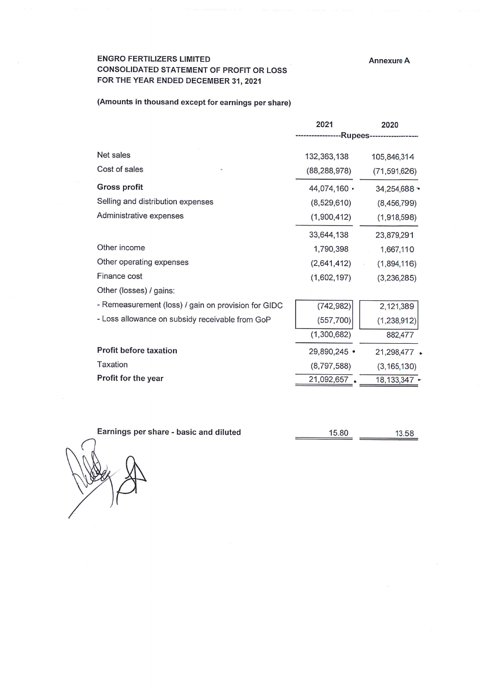**Annexure A** 

## **ENGRO FERTILIZERS LIMITED** CONSOLIDATED STATEMENT OF PROFIT OR LOSS FOR THE YEAR ENDED DECEMBER 31, 2021

## (Amounts in thousand except for earnings per share)

|                                                     | 2021           | 2020                       |
|-----------------------------------------------------|----------------|----------------------------|
|                                                     |                | -Rupees------------------- |
| Net sales                                           | 132,363,138    | 105,846,314                |
| Cost of sales                                       | (88, 288, 978) | (71, 591, 626)             |
| Gross profit                                        | 44,074,160 ·   | 34,254,688 -               |
| Selling and distribution expenses                   | (8, 529, 610)  | (8,456,799)                |
| Administrative expenses                             | (1,900,412)    | (1,918,598)                |
|                                                     | 33,644,138     | 23,879,291                 |
| Other income                                        | 1,790,398      | 1,667,110                  |
| Other operating expenses                            | (2,641,412)    | (1,894,116)                |
| Finance cost                                        | (1,602,197)    | (3,236,285)                |
| Other (losses) / gains:                             |                |                            |
| - Remeasurement (loss) / gain on provision for GIDC | (742, 982)     | 2,121,389                  |
| - Loss allowance on subsidy receivable from GoP     | (557,700)      | (1, 238, 912)              |
|                                                     | (1,300,682)    | 882,477                    |
| <b>Profit before taxation</b>                       | 29,890,245 •   | 21,298,477 .               |
| Taxation                                            | (8,797,588)    | (3, 165, 130)              |
| Profit for the year                                 | 21,092,657     | 18, 133, 347 -             |

Earnings per share - basic and diluted

15.80 13.58